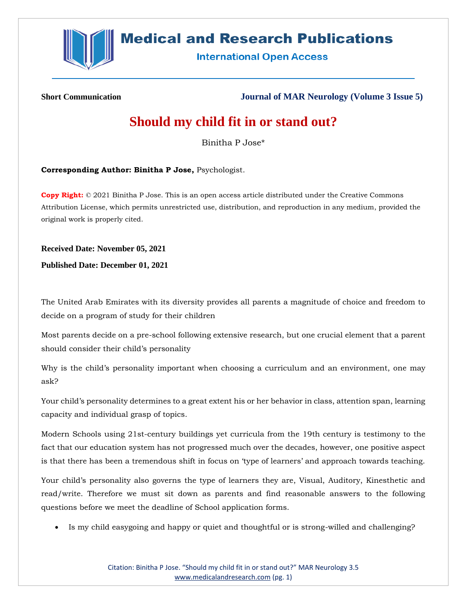

# **Medical and Research Publications**

**International Open Access** 

**Short Communication Journal of MAR Neurology (Volume 3 Issue 5)**

# **Should my child fit in or stand out?**

Binitha P Jose\*

**Corresponding Author: Binitha P Jose,** Psychologist.

**Copy Right:** © 2021 Binitha P Jose. This is an open access article distributed under the Creative Commons Attribution License, which permits unrestricted use, distribution, and reproduction in any medium, provided the original work is properly cited.

**Received Date: November 05, 2021**

**Published Date: December 01, 2021**

The United Arab Emirates with its diversity provides all parents a magnitude of choice and freedom to decide on a program of study for their children

Most parents decide on a pre-school following extensive research, but one crucial element that a parent should consider their child's personality

Why is the child's personality important when choosing a curriculum and an environment, one may ask?

Your child's personality determines to a great extent his or her behavior in class, attention span, learning capacity and individual grasp of topics.

Modern Schools using 21st-century buildings yet curricula from the 19th century is testimony to the fact that our education system has not progressed much over the decades, however, one positive aspect is that there has been a tremendous shift in focus on 'type of learners' and approach towards teaching.

Your child's personality also governs the type of learners they are, Visual, Auditory, Kinesthetic and read/write. Therefore we must sit down as parents and find reasonable answers to the following questions before we meet the deadline of School application forms.

• Is my child easygoing and happy or quiet and thoughtful or is strong-willed and challenging?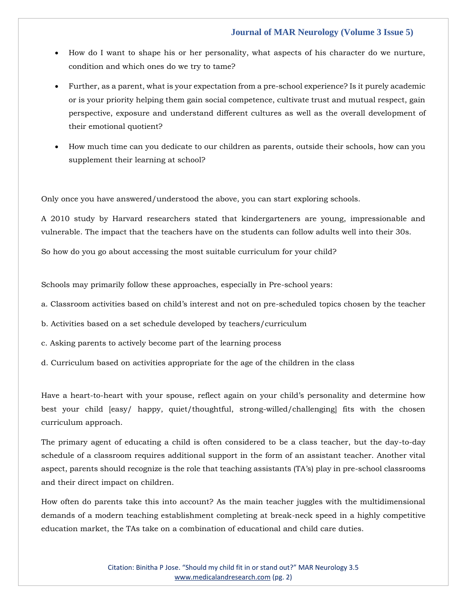### **Journal of MAR Neurology (Volume 3 Issue 5)**

- How do I want to shape his or her personality, what aspects of his character do we nurture, condition and which ones do we try to tame?
- Further, as a parent, what is your expectation from a pre-school experience? Is it purely academic or is your priority helping them gain social competence, cultivate trust and mutual respect, gain perspective, exposure and understand different cultures as well as the overall development of their emotional quotient?
- How much time can you dedicate to our children as parents, outside their schools, how can you supplement their learning at school?

Only once you have answered/understood the above, you can start exploring schools.

A 2010 study by Harvard researchers stated that kindergarteners are young, impressionable and vulnerable. The impact that the teachers have on the students can follow adults well into their 30s.

So how do you go about accessing the most suitable curriculum for your child?

Schools may primarily follow these approaches, especially in Pre-school years:

a. Classroom activities based on child's interest and not on pre-scheduled topics chosen by the teacher

- b. Activities based on a set schedule developed by teachers/curriculum
- c. Asking parents to actively become part of the learning process
- d. Curriculum based on activities appropriate for the age of the children in the class

Have a heart-to-heart with your spouse, reflect again on your child's personality and determine how best your child [easy/ happy, quiet/thoughtful, strong-willed/challenging] fits with the chosen curriculum approach.

The primary agent of educating a child is often considered to be a class teacher, but the day-to-day schedule of a classroom requires additional support in the form of an assistant teacher. Another vital aspect, parents should recognize is the role that teaching assistants (TA's) play in pre-school classrooms and their direct impact on children.

How often do parents take this into account? As the main teacher juggles with the multidimensional demands of a modern teaching establishment completing at break-neck speed in a highly competitive education market, the TAs take on a combination of educational and child care duties.